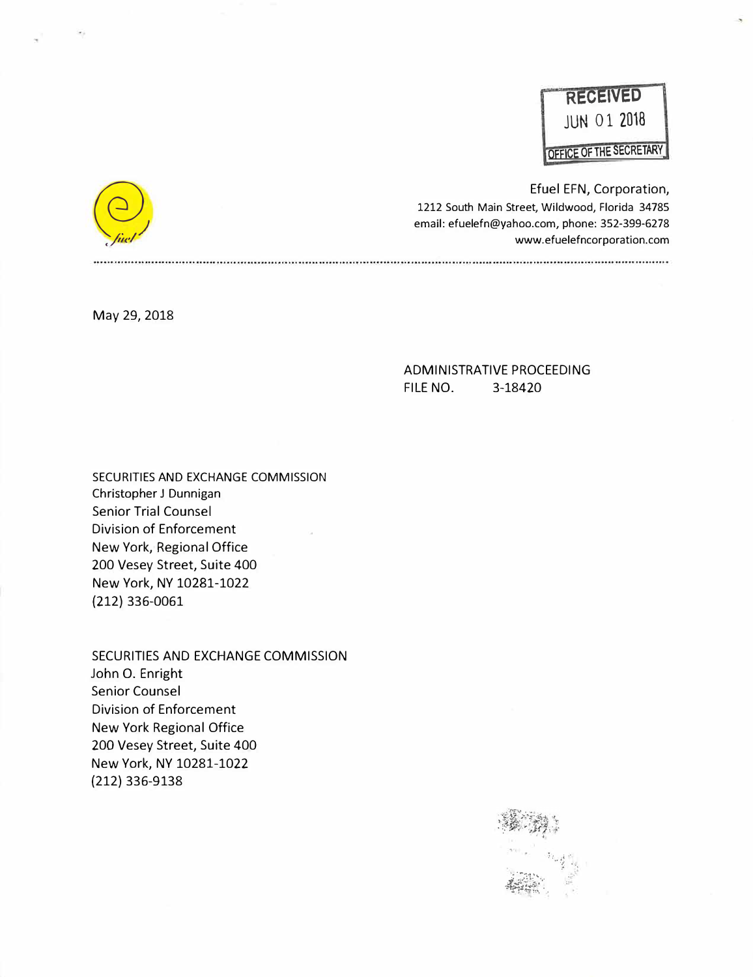

Efuel EFN, Corporation, 1212 South Main Street, Wildwood, Florida 34785 email: efuelefn@yahoo.com, phone: 352-399-6278 www.efuelefncorporation.com

May 29, 2018

### ADMINISTRATIVE PROCEEDING FILE NO. 3-18420

SECURITIES AND EXCHANGE COMMISSION Christopher J Dunnigan Senior Trial Counsel Division of Enforcement New York, Regional Office 200 Vesey Street, Suite 400 New York, NY 10281-1022 (212) 336-0061

SECURITIES AND EXCHANGE COMMISSION John 0. Enright Senior Counsel Division of Enforcement New York Regional Office 200 Vesey Street, Suite 400 New York, NY 10281-1022 (212) 336-9138



 $\bigodot$ <br>first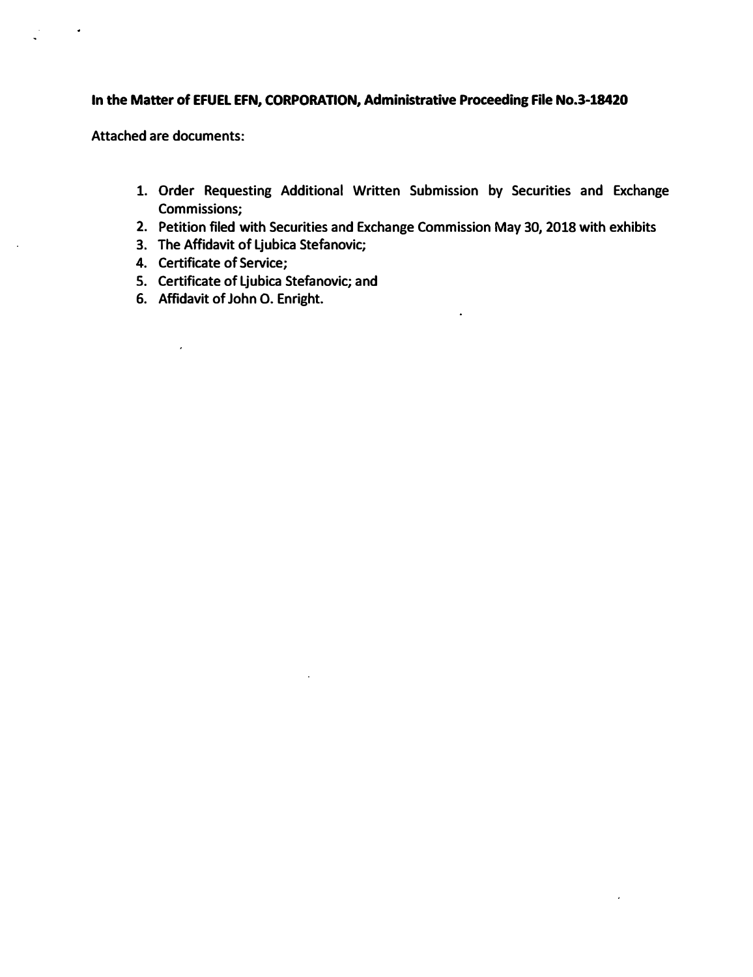## **In the Matter of EFUEL EFN, CORPORATION, Administrative Proceeding File No.3-18420**

**Attached are documents:** 

**1. Order Requesting Additional Written Submission by Securities and Exchange Commissions;**

 $\hat{\boldsymbol{\epsilon}}$ 

- **2. Petition filed with Securities and Exchange Commission May 30, 2018 with exhibits**
- **3. The Affidavit of Ljubica Stefanovic;**
- **4. Certificate of Service;**

 $\hat{\mathbf{z}}$ 

- **5. Certificate of Ljubica Stefanovic; and**
- **6. Affidavit of John 0. Enright.**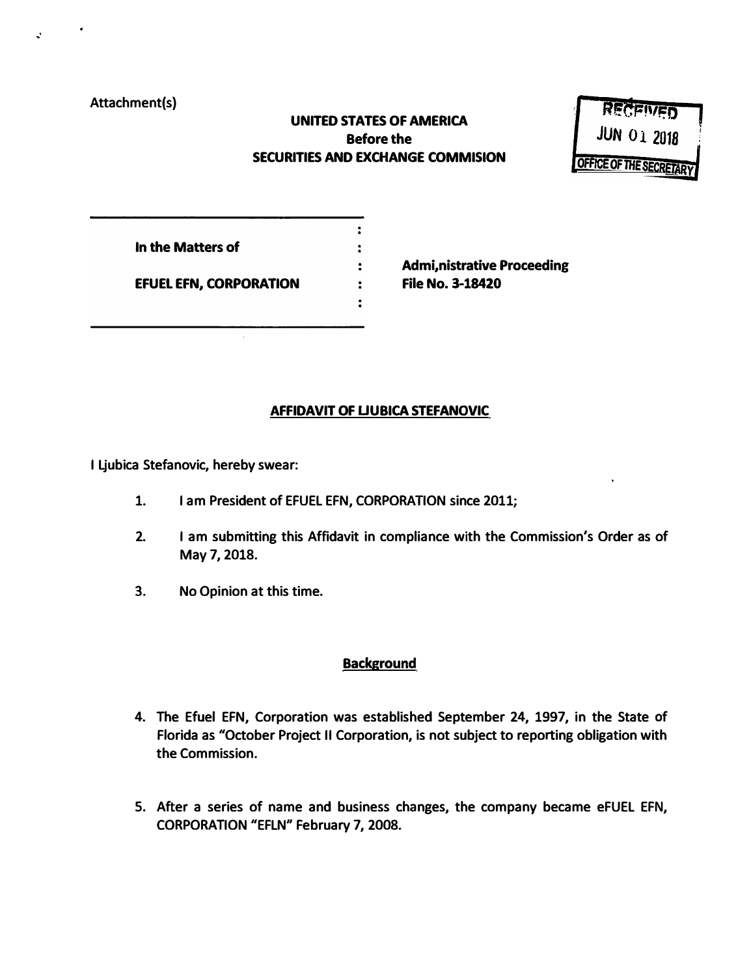### **Attachment(s)**

 $\mathcal{L}$ 

# **UNITED STATES OF AMERICA Before the SECURITIES AND EXCHANGE COMMISION**

 $\ddot{\cdot}$  $\ddot{\phantom{a}}$  $\ddot{\cdot}$  $\ddot{\phantom{a}}$  $\ddot{ }$ .



| In the Matters of             |  |
|-------------------------------|--|
| <b>EFUEL EFN, CORPORATION</b> |  |

**Admi,nistrative Proceeding File No. 3-18420** 

# **AFFIDAVIT OF UUBICA STEFANOVIC**

**I Ljubica Stefanovic, hereby swear:** 

- **1. I am President of EFUEL EFN, CORPORATION since 2011;**
- **2. I am submitting this Affidavit in compliance with the Commission's Order as of May 7, 2018.**
- **3. No Opinion at this time.**

# **Background**

- **4. The Efuel EFN, Corporation was established September 24, 1997, in the State of Florida as "October Project II Corporation, is not subject to reporting obligation with the Commission.**
- **5. After a series of name and business changes, the company became eFUEL EFN, CORPORATION "EFLN" February 7, 2008.**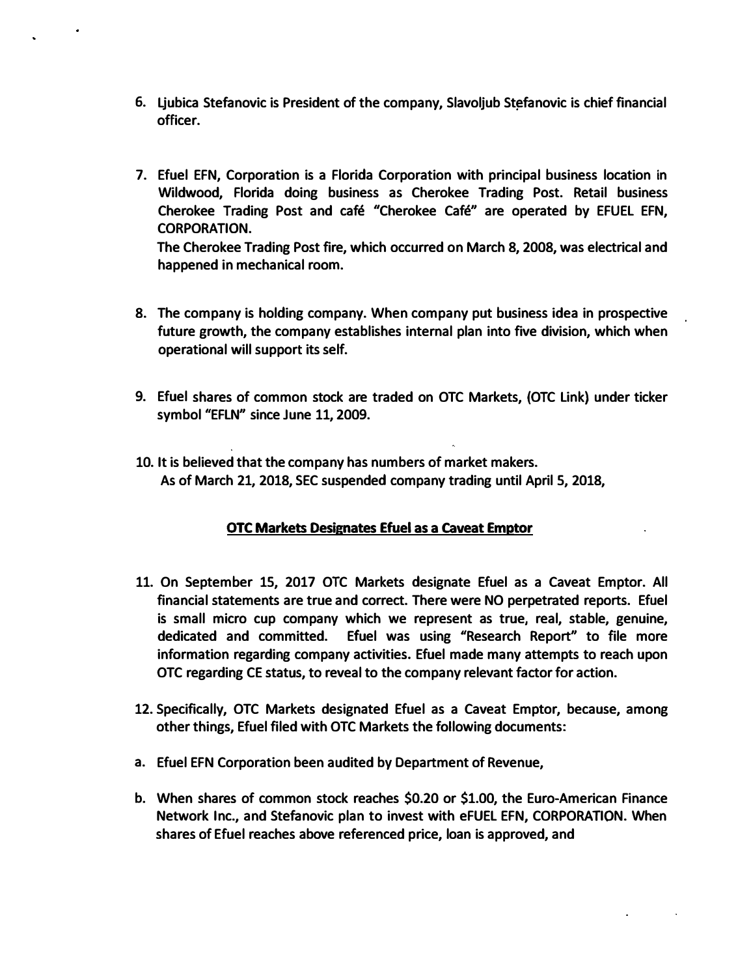- **6. Ljubica Stefanovic is President of the company, Slavoljub St�fanovic is chief financial officer.**
- **7. Efuel EFN, Corporation is a Florida Corporation with principal business location in Wildwood, Florida doing business as Cherokee Trading Post. Retail business Cherokee Trading Post and cafe "Cherokee Cafe" are operated by EFUEL EFN, CORPORATION.**

**The Cherokee Trading Post fire, which occurred on March 8, 2008, was electrical and happened in mechanical room.**

- **8. The company is holding company. When company put business idea in prospective future growth, the company establishes internal plan into five division, which when operational will support its self.**
- **9. Efuel shares of common stock are traded on OTC Markets, (OTC Link) under ticker symbol "EFLN" since June 11, 2009.**
- **10. It is believed that the company has numbers of market makers. As of March 21, 2018, SEC suspended company trading until April 5, 2018,**

# **OTC Markets Designates Efuel as a caveat Emptor**

- **11. On September 15, 2017 OTC Markets designate Efuel as a Caveat Emptor. All financial statements are true and correct. There were NO perpetrated reports. Efuel is small micro cup company which we represent as true, real, stable, genuine, dedicated and committed. Efuel was using "Research Report" to file more information regarding company activities. Efuel made many attempts to reach upon OTC regarding CE status, to reveal to the company relevant factor for action.**
- **12. Specifically, OTC Markets designated Efuel as a Caveat Emptor, because, among other things, Efuel filed with OTC Markets the following documents:**
- **a. Efuel EFN Corporation been audited by Department of Revenue,**
- **b. When shares of common stock reaches \$0.20 or \$1.00, the Euro-American Finance Network Inc., and Stefanovic plan to invest with eFUEL EFN, CORPORATION. When shares of Efuel reaches above referenced price, loan is approved, and**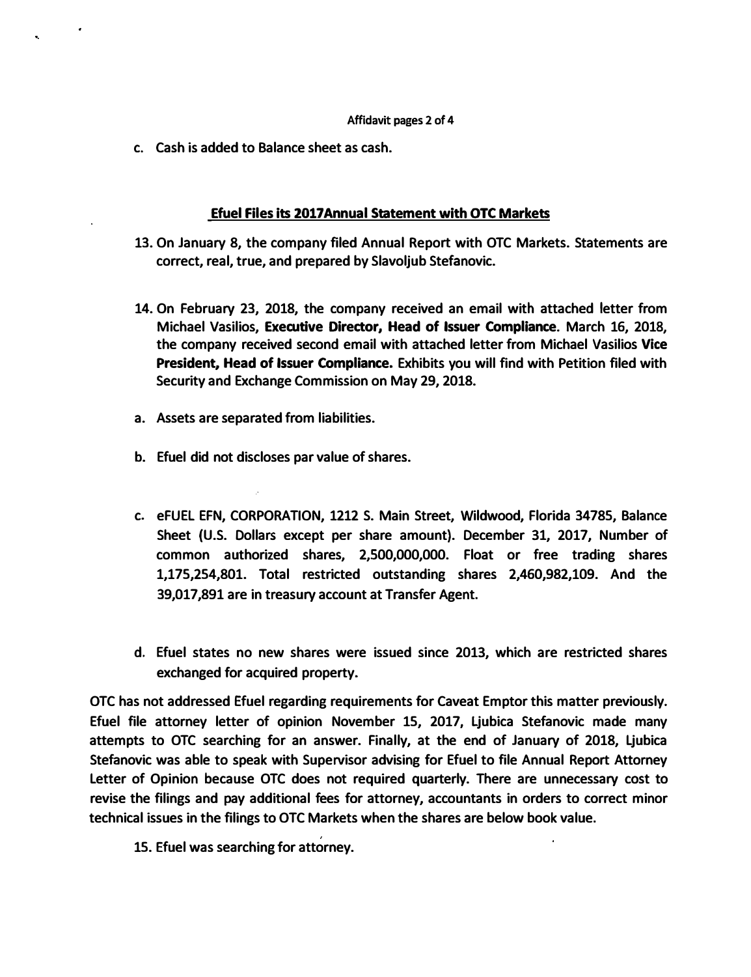#### **Affidavit pages 2 of 4**

**c. Cash is added to Balance sheet as cash.**

#### **Efuel Files its 2017 Annual Statement with OTC Markets**

- **13. On January 8, the company filed Annual Report with OTC Markets. Statements are correct, real, true, and prepared by Slavoljub Stefanovic.**
- **14. On February 23, 2018, the company received an email with attached letter from Michael Vasilios, Executive Director, Head of Issuer Compliance. March 16, 2018, the company received second email with attached letter from Michael Vasilios Vice President, Head of Issuer Compliance. Exhibits you will find with Petition filed with Security and Exchange Commission on May 29, 2018.**
- **a. Assets are separated from liabilities.**
- **b. Efuel did not discloses par value of shares.**
- **c. eFUEL EFN, CORPORATION, 1212 S. Main Street, Wildwood, Florida 34785, Balance Sheet (U.S. Dollars except per share amount). December 31, 2017, Number of common authorized shares, 2,500,000,000. Float or free trading shares 1,175,254,801. Total restricted outstanding shares 2,460,982,109. And the 39,017,891 are in treasury account at Transfer Agent.**
- **d. Efuel states no new shares were issued since 2013, which are restricted shares exchanged for acquired property.**

**OTC has not addressed Efuel regarding requirements for Caveat Emptor this matter previously. Efuel file attorney letter of opinion November 15, 2017, Ljubica Stefanovic made many attempts to OTC searching for an answer. Finally, at the end of January of 2018, Ljubica Stefanovic was able to speak with Supervisor advising for Efuel to file Annual Report Attorney Letter of Opinion because OTC does not required quarterly. There are unnecessary cost to revise the filings and pay additional fees for attorney, accountants in orders to correct minor technical issues in the filings to OTC Markets when the shares are below book value.** 

**15. Efuel was searching for attorney.**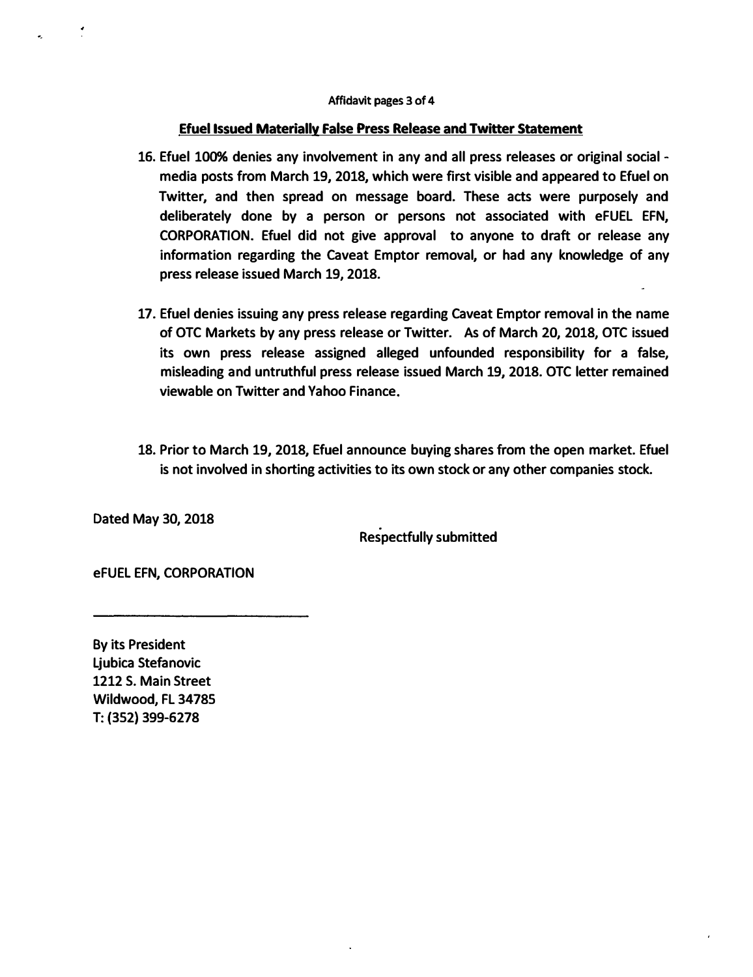#### **Efuel Issued Materially False Press Release and Twitter Statement**

- **16. Efuel 100% denies any involvement in any and all press releases or original social media posts from March 19, 2018, which were first visible and appeared to Efuel on Twitter, and then spread on message board. These acts were purposely and deliberately done by a person or persons not associated with eFUEL EFN, CORPORATION. Efuel did not give approval to anyone to draft or release any information regarding the Caveat Emptor removal, or had any knowledge of any press release issued March 19, 2018.**
- **17. Efuel denies issuing any press release regarding Caveat Emptor removal in the name of OTC Markets by any press release or Twitter. As of March 20, 2018, OTC issued its own press release assigned alleged unfounded responsibility for a false, misleading and untruthful press release issued March 19, 2018. OTC letter remained viewable on Twitter and Yahoo Finance.**
- **18. Prior to March 19, 2018, Efuel announce buying shares from the open market. Efuel is not involved in shorting activities to its own stock or any other companies stock.**

**Dated May 30, 2018** 

**Respectfully submitted** 

**eFUEL EFN, CORPORATION** 

**By its President Ljubica Stefanovic 1212 S. Main Street Wildwood, FL 34785 T: (352) 399-6278**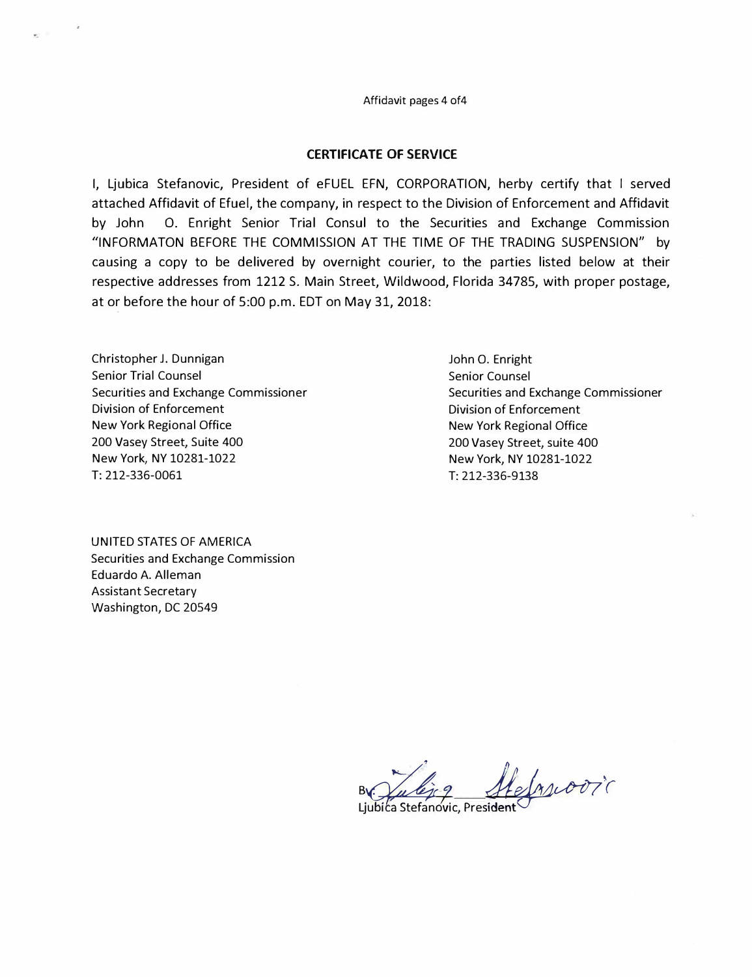Affidavit pages 4 of4

#### **CERTIFICATE OF SERVICE**

I, Ljubica Stefanovic, President of eFUEL EFN, CORPORATION, herby certify that I served attached Affidavit of Efuel, the company, in respect to the Division of Enforcement and Affidavit by John 0. Enright Senior Trial Consul to the Securities and Exchange Commission <sup>11</sup>INFORMATON BEFORE THE COMMISSION AT THE TIME OF THE TRADING SUSPENSION" by causing a copy to be delivered by overnight courier, to the parties listed below at their respective addresses from 1212 S. Main Street, Wildwood, Florida 34785, with proper postage, at or before the hour of 5:00 p.m. EDT on May 31, 2018:

Christopher J. Dunnigan Senior Trial Counsel Securities and Exchange Commissioner Division of Enforcement New York Regional Office 200 Vasey Street, Suite 400 New York, NY 10281-1022 T: 212-336-0061

UNITED STATES OF AMERICA Securities and Exchange Commission Eduardo A. Alleman Assistant Secretary Washington, DC 20549

John 0. Enright Senior Counsel Securities and Exchange Commissioner Division of Enforcement New York Regional Office 200 Vasey Street, suite 400 New York, NY 10281-1022 T: 212-336-9138

felascooric

Ljubica Stefanovic, President